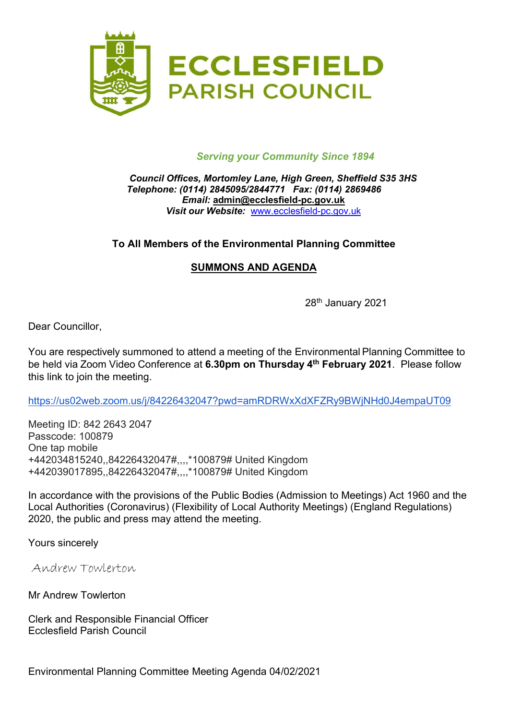

#### Serving your Community Since 1894

#### Council Offices, Mortomley Lane, High Green, Sheffield S35 3HS Telephone: (0114) 2845095/2844771 Fax: (0114) 2869486 Email: admin@ecclesfield-pc.gov.uk Visit our Website: www.ecclesfield-pc.gov.uk

# To All Members of the Environmental Planning Committee

# SUMMONS AND AGENDA

28<sup>th</sup> January 2021

Dear Councillor,

You are respectively summoned to attend a meeting of the Environmental Planning Committee to be held via Zoom Video Conference at 6.30pm on Thursday 4<sup>th</sup> February 2021. Please follow this link to join the meeting.

https://us02web.zoom.us/j/84226432047?pwd=amRDRWxXdXFZRy9BWjNHd0J4empaUT09

Meeting ID: 842 2643 2047 Passcode: 100879 One tap mobile +442034815240,,84226432047#,,,,\*100879# United Kingdom +442039017895,,84226432047#,,,,\*100879# United Kingdom

In accordance with the provisions of the Public Bodies (Admission to Meetings) Act 1960 and the Local Authorities (Coronavirus) (Flexibility of Local Authority Meetings) (England Regulations) 2020, the public and press may attend the meeting.

Yours sincerely

Andrew Towlerton

Mr Andrew Towlerton

Clerk and Responsible Financial Officer Ecclesfield Parish Council

Environmental Planning Committee Meeting Agenda 04/02/2021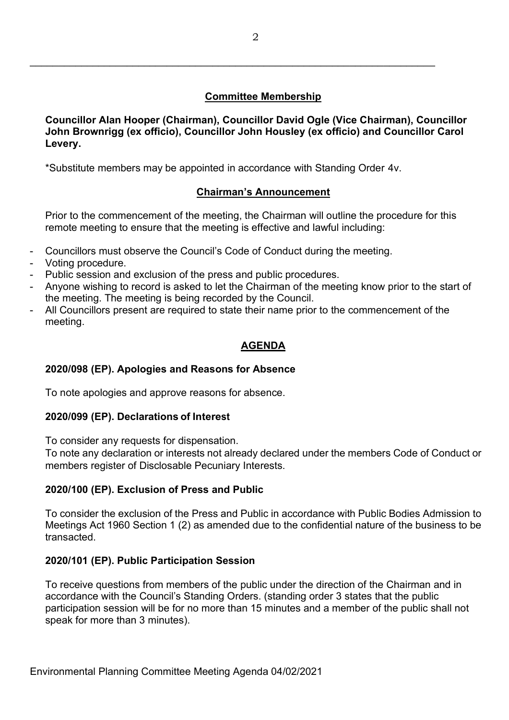# Committee Membership

Councillor Alan Hooper (Chairman), Councillor David Ogle (Vice Chairman), Councillor John Brownrigg (ex officio), Councillor John Housley (ex officio) and Councillor Carol Levery.

\*Substitute members may be appointed in accordance with Standing Order 4v.

# Chairman's Announcement

Prior to the commencement of the meeting, the Chairman will outline the procedure for this remote meeting to ensure that the meeting is effective and lawful including:

- Councillors must observe the Council's Code of Conduct during the meeting.
- Voting procedure.
- Public session and exclusion of the press and public procedures.
- Anyone wishing to record is asked to let the Chairman of the meeting know prior to the start of the meeting. The meeting is being recorded by the Council.
- All Councillors present are required to state their name prior to the commencement of the meeting.

## AGENDA

#### 2020/098 (EP). Apologies and Reasons for Absence

To note apologies and approve reasons for absence.

#### 2020/099 (EP). Declarations of Interest

To consider any requests for dispensation.

To note any declaration or interests not already declared under the members Code of Conduct or members register of Disclosable Pecuniary Interests.

# 2020/100 (EP). Exclusion of Press and Public

To consider the exclusion of the Press and Public in accordance with Public Bodies Admission to Meetings Act 1960 Section 1 (2) as amended due to the confidential nature of the business to be transacted.

# 2020/101 (EP). Public Participation Session

To receive questions from members of the public under the direction of the Chairman and in accordance with the Council's Standing Orders. (standing order 3 states that the public participation session will be for no more than 15 minutes and a member of the public shall not speak for more than 3 minutes).

 $\overline{a}$  , and the contribution of the contribution of the contribution of the contribution of the contribution of the contribution of the contribution of the contribution of the contribution of the contribution of the co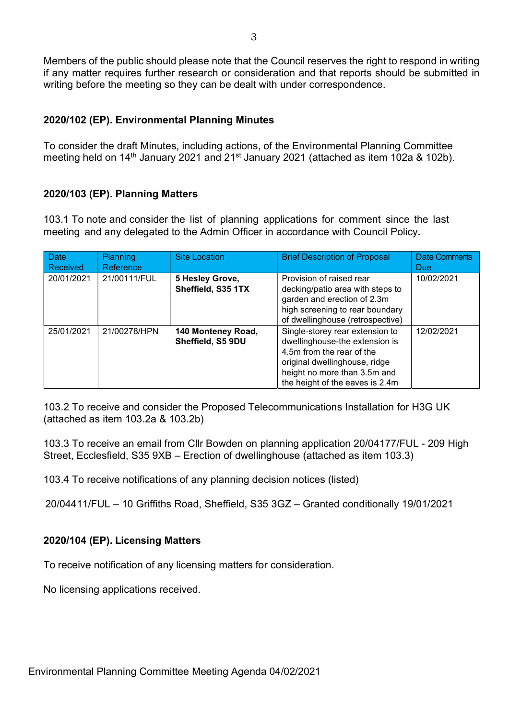Members of the public should please note that the Council reserves the right to respond in writing if any matter requires further research or consideration and that reports should be submitted in writing before the meeting so they can be dealt with under correspondence.

#### 2020/102 (EP). Environmental Planning Minutes

To consider the draft Minutes, including actions, of the Environmental Planning Committee meeting held on 14<sup>th</sup> January 2021 and 21<sup>st</sup> January 2021 (attached as item 102a & 102b).

## 2020/103 (EP). Planning Matters

103.1 To note and consider the list of planning applications for comment since the last meeting and any delegated to the Admin Officer in accordance with Council Policy.

| <b>Date</b><br>Received | <b>Planning</b><br>Reference | <b>Site Location</b>                    | <b>Brief Description of Proposal</b>                                                                                                                                                               | <b>Date Comments</b><br><b>Due</b> |
|-------------------------|------------------------------|-----------------------------------------|----------------------------------------------------------------------------------------------------------------------------------------------------------------------------------------------------|------------------------------------|
| 20/01/2021              | 21/00111/FUL                 | 5 Hesley Grove,<br>Sheffield, S35 1TX   | Provision of raised rear<br>decking/patio area with steps to<br>garden and erection of 2.3m<br>high screening to rear boundary<br>of dwellinghouse (retrospective)                                 | 10/02/2021                         |
| 25/01/2021              | 21/00278/HPN                 | 140 Monteney Road,<br>Sheffield, S5 9DU | Single-storey rear extension to<br>dwellinghouse-the extension is<br>4.5m from the rear of the<br>original dwellinghouse, ridge<br>height no more than 3.5m and<br>the height of the eaves is 2.4m | 12/02/2021                         |

103.2 To receive and consider the Proposed Telecommunications Installation for H3G UK (attached as item 103.2a & 103.2b)

103.3 To receive an email from Cllr Bowden on planning application 20/04177/FUL - 209 High Street, Ecclesfield, S35 9XB – Erection of dwellinghouse (attached as item 103.3)

103.4 To receive notifications of any planning decision notices (listed)

20/04411/FUL – 10 Griffiths Road, Sheffield, S35 3GZ – Granted conditionally 19/01/2021

# 2020/104 (EP). Licensing Matters

To receive notification of any licensing matters for consideration.

No licensing applications received.